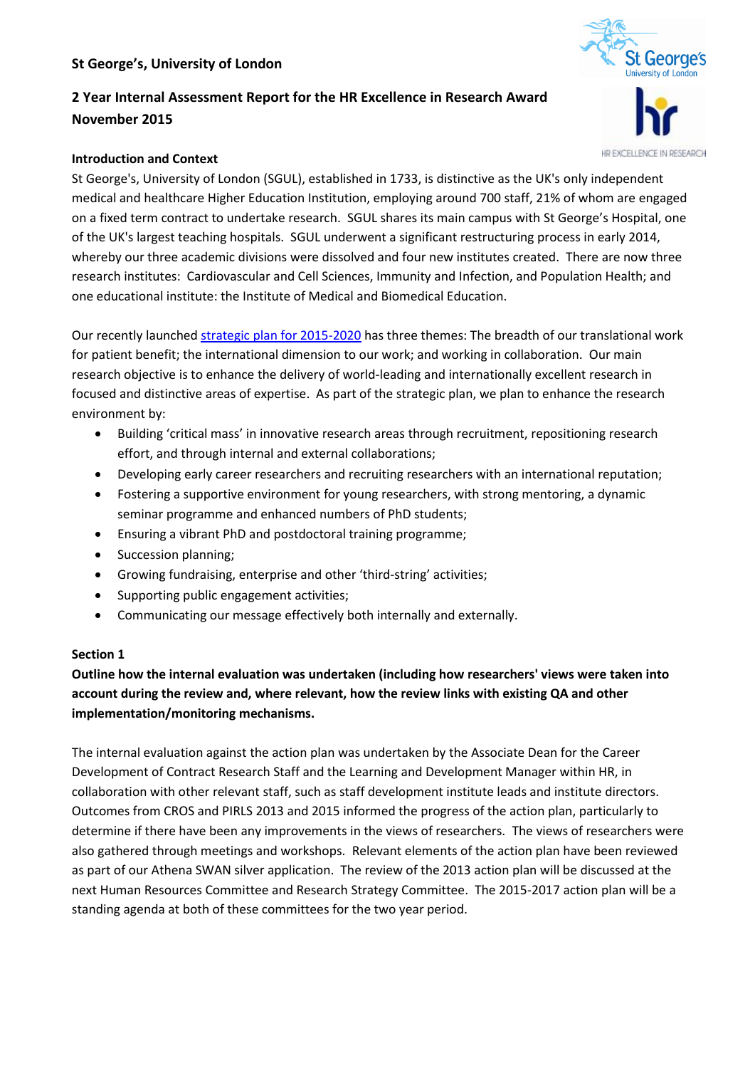# **St George's, University of London**

# **2 Year Internal Assessment Report for the HR Excellence in Research Award November 2015**

#### **Introduction and Context**

St George's, University of London (SGUL), established in 1733, is distinctive as the UK's only independent medical and healthcare Higher Education Institution, employing around 700 staff, 21% of whom are engaged on a fixed term contract to undertake research. SGUL shares its main campus with St George's Hospital, one of the UK's largest teaching hospitals. SGUL underwent a significant restructuring process in early 2014, whereby our three academic divisions were dissolved and four new institutes created. There are now three research institutes: Cardiovascular and Cell Sciences, Immunity and Infection, and Population Health; and one educational institute: the Institute of Medical and Biomedical Education.

Our recently launche[d strategic plan for 2015-2020](http://www.sgul.ac.uk/images/StrategicPlan2015_2020.pdf) has three themes: The breadth of our translational work for patient benefit; the international dimension to our work; and working in collaboration. Our main research objective is to enhance the delivery of world-leading and internationally excellent research in focused and distinctive areas of expertise. As part of the strategic plan, we plan to enhance the research environment by:

- Building 'critical mass' in innovative research areas through recruitment, repositioning research effort, and through internal and external collaborations;
- Developing early career researchers and recruiting researchers with an international reputation;
- Fostering a supportive environment for young researchers, with strong mentoring, a dynamic seminar programme and enhanced numbers of PhD students;
- Ensuring a vibrant PhD and postdoctoral training programme;
- Succession planning;
- Growing fundraising, enterprise and other 'third-string' activities;
- Supporting public engagement activities;
- Communicating our message effectively both internally and externally.

# **Section 1**

**Outline how the internal evaluation was undertaken (including how researchers' views were taken into account during the review and, where relevant, how the review links with existing QA and other implementation/monitoring mechanisms.**

The internal evaluation against the action plan was undertaken by the Associate Dean for the Career Development of Contract Research Staff and the Learning and Development Manager within HR, in collaboration with other relevant staff, such as staff development institute leads and institute directors. Outcomes from CROS and PIRLS 2013 and 2015 informed the progress of the action plan, particularly to determine if there have been any improvements in the views of researchers. The views of researchers were also gathered through meetings and workshops. Relevant elements of the action plan have been reviewed as part of our Athena SWAN silver application. The review of the 2013 action plan will be discussed at the next Human Resources Committee and Research Strategy Committee. The 2015-2017 action plan will be a standing agenda at both of these committees for the two year period.



HR EXCELLENCE IN RESEARCH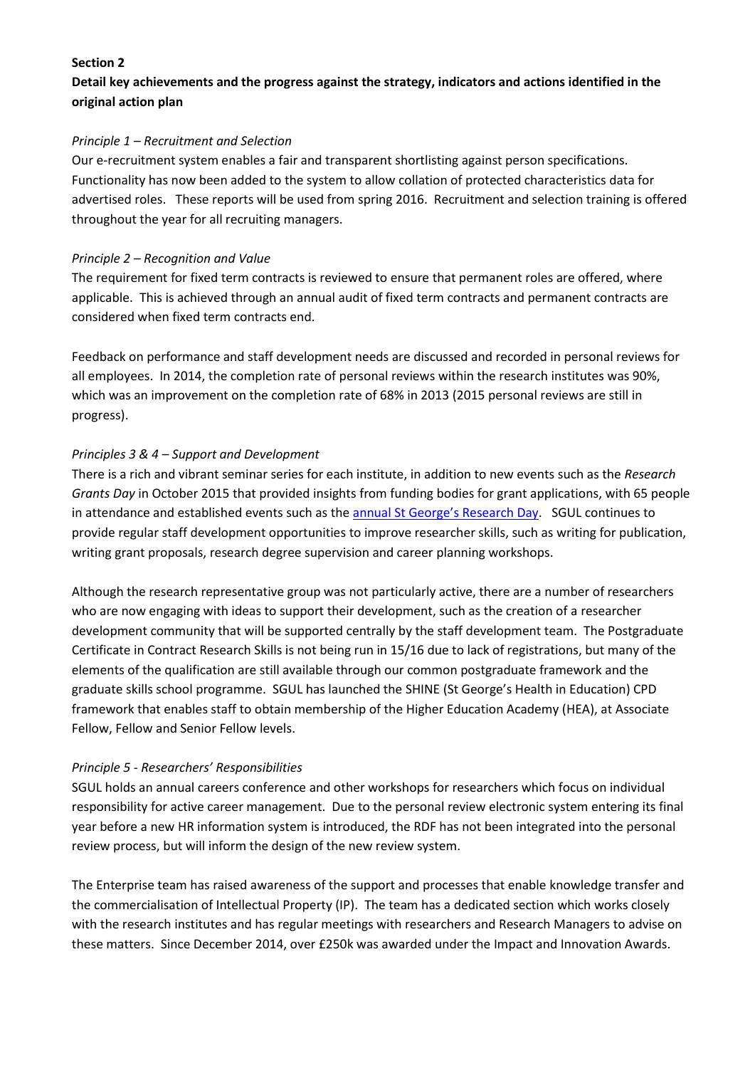### **Section 2**

# **Detail key achievements and the progress against the strategy, indicators and actions identified in the original action plan**

#### *Principle 1 – Recruitment and Selection*

Our e-recruitment system enables a fair and transparent shortlisting against person specifications. Functionality has now been added to the system to allow collation of protected characteristics data for advertised roles. These reports will be used from spring 2016. Recruitment and selection training is offered throughout the year for all recruiting managers.

#### *Principle 2 – Recognition and Value*

The requirement for fixed term contracts is reviewed to ensure that permanent roles are offered, where applicable. This is achieved through an annual audit of fixed term contracts and permanent contracts are considered when fixed term contracts end.

Feedback on performance and staff development needs are discussed and recorded in personal reviews for all employees. In 2014, the completion rate of personal reviews within the research institutes was 90%, which was an improvement on the completion rate of 68% in 2013 (2015 personal reviews are still in progress).

# *Principles 3 & 4 – Support and Development*

There is a rich and vibrant seminar series for each institute, in addition to new events such as the *Research Grants Day* in October 2015 that provided insights from funding bodies for grant applications, with 65 people in attendance and established events such as the **[annual St George's Research Day](http://www.researchday.sgul.ac.uk/)**. SGUL continues to provide regular staff development opportunities to improve researcher skills, such as writing for publication, writing grant proposals, research degree supervision and career planning workshops.

Although the research representative group was not particularly active, there are a number of researchers who are now engaging with ideas to support their development, such as the creation of a researcher development community that will be supported centrally by the staff development team. The Postgraduate Certificate in Contract Research Skills is not being run in 15/16 due to lack of registrations, but many of the elements of the qualification are still available through our common postgraduate framework and the graduate skills school programme. SGUL has launched the SHINE (St George's Health in Education) CPD framework that enables staff to obtain membership of the Higher Education Academy (HEA), at Associate Fellow, Fellow and Senior Fellow levels.

# *Principle 5 - Researchers' Responsibilities*

SGUL holds an annual careers conference and other workshops for researchers which focus on individual responsibility for active career management. Due to the personal review electronic system entering its final year before a new HR information system is introduced, the RDF has not been integrated into the personal review process, but will inform the design of the new review system.

The Enterprise team has raised awareness of the support and processes that enable knowledge transfer and the commercialisation of Intellectual Property (IP). The team has a dedicated section which works closely with the research institutes and has regular meetings with researchers and Research Managers to advise on these matters. Since December 2014, over £250k was awarded under the Impact and Innovation Awards.